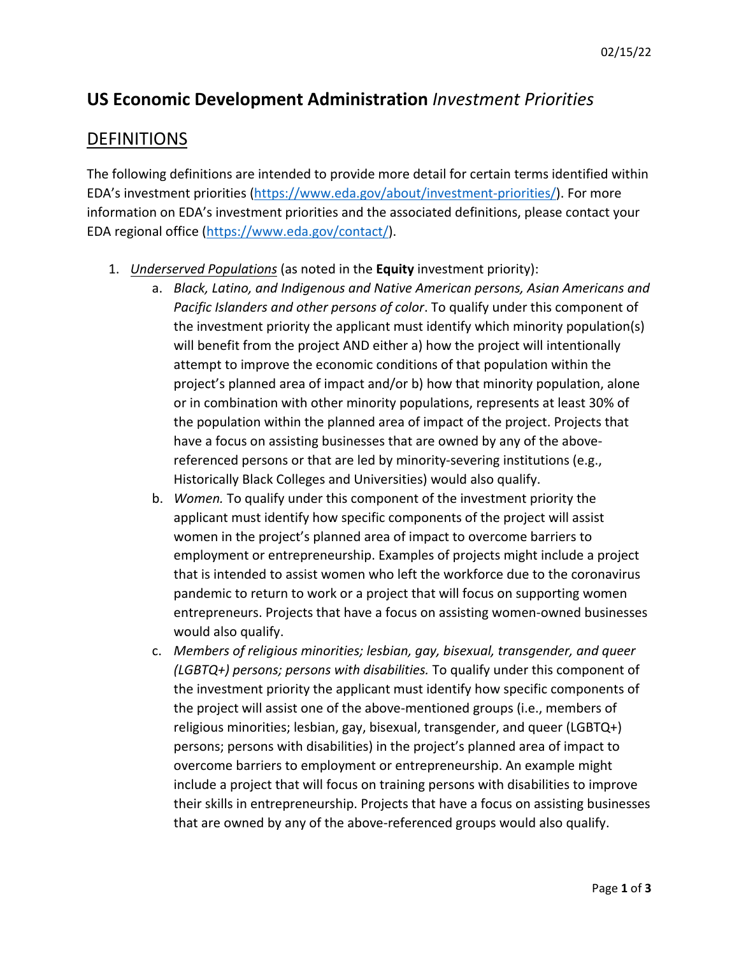## **US Economic Development Administration** *Investment Priorities*

## **DEFINITIONS**

The following definitions are intended to provide more detail for certain terms identified within EDA's investment priorities [\(https://www.eda.gov/about/investment-priorities/\)](https://www.eda.gov/about/investment-priorities/). For more information on EDA's investment priorities and the associated definitions, please contact your EDA regional office [\(https://www.eda.gov/contact/\)](https://www.eda.gov/contact/).

- 1. *Underserved Populations* (as noted in the **Equity** investment priority):
	- a. *Black, Latino, and Indigenous and Native American persons, Asian Americans and Pacific Islanders and other persons of color*. To qualify under this component of the investment priority the applicant must identify which minority population(s) will benefit from the project AND either a) how the project will intentionally attempt to improve the economic conditions of that population within the project's planned area of impact and/or b) how that minority population, alone or in combination with other minority populations, represents at least 30% of the population within the planned area of impact of the project. Projects that have a focus on assisting businesses that are owned by any of the abovereferenced persons or that are led by minority-severing institutions (e.g., Historically Black Colleges and Universities) would also qualify.
	- b. *Women.* To qualify under this component of the investment priority the applicant must identify how specific components of the project will assist women in the project's planned area of impact to overcome barriers to employment or entrepreneurship. Examples of projects might include a project that is intended to assist women who left the workforce due to the coronavirus pandemic to return to work or a project that will focus on supporting women entrepreneurs. Projects that have a focus on assisting women-owned businesses would also qualify.
	- c. *Members of religious minorities; lesbian, gay, bisexual, transgender, and queer (LGBTQ+) persons; persons with disabilities.* To qualify under this component of the investment priority the applicant must identify how specific components of the project will assist one of the above-mentioned groups (i.e., members of religious minorities; lesbian, gay, bisexual, transgender, and queer (LGBTQ+) persons; persons with disabilities) in the project's planned area of impact to overcome barriers to employment or entrepreneurship. An example might include a project that will focus on training persons with disabilities to improve their skills in entrepreneurship. Projects that have a focus on assisting businesses that are owned by any of the above-referenced groups would also qualify.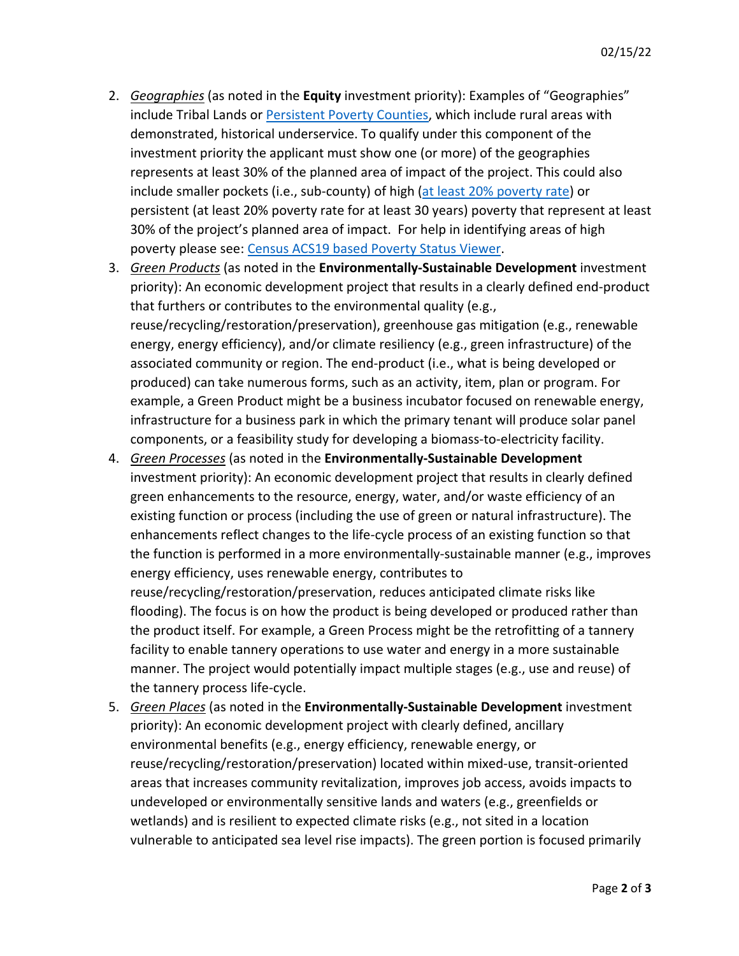- 2. *Geographies* (as noted in the **Equity** investment priority): Examples of "Geographies" include Tribal Lands or [Persistent Poverty Counties,](https://eda.gov/files/about/investment-priorities/FY2022_PPCs.xlsx) which include rural areas with demonstrated, historical underservice. To qualify under this component of the investment priority the applicant must show one (or more) of the geographies represents at least 30% of the planned area of impact of the project. This could also include smaller pockets (i.e., sub-county) of high [\(at least 20% poverty rate\)](https://mtgis-portal.geo.census.gov/arcgis/apps/webappviewer/index.html?id=31e10881bd1040b7b0ae685559917509) or persistent (at least 20% poverty rate for at least 30 years) poverty that represent at least 30% of the project's planned area of impact. For help in identifying areas of high poverty please see: [Census ACS19 based Poverty Status Viewer.](https://mtgis-portal.geo.census.gov/arcgis/apps/webappviewer/index.html?id=31e10881bd1040b7b0ae685559917509)
- 3. *Green Products* (as noted in the **Environmentally-Sustainable Development** investment priority): An economic development project that results in a clearly defined end-product that furthers or contributes to the environmental quality (e.g., reuse/recycling/restoration/preservation), greenhouse gas mitigation (e.g., renewable energy, energy efficiency), and/or climate resiliency (e.g., green infrastructure) of the associated community or region. The end-product (i.e., what is being developed or produced) can take numerous forms, such as an activity, item, plan or program. For example, a Green Product might be a business incubator focused on renewable energy, infrastructure for a business park in which the primary tenant will produce solar panel components, or a feasibility study for developing a biomass-to-electricity facility.
- 4. *Green Processes* (as noted in the **Environmentally-Sustainable Development** investment priority): An economic development project that results in clearly defined green enhancements to the resource, energy, water, and/or waste efficiency of an existing function or process (including the use of green or natural infrastructure). The enhancements reflect changes to the life-cycle process of an existing function so that the function is performed in a more environmentally-sustainable manner (e.g., improves energy efficiency, uses renewable energy, contributes to reuse/recycling/restoration/preservation, reduces anticipated climate risks like flooding). The focus is on how the product is being developed or produced rather than the product itself. For example, a Green Process might be the retrofitting of a tannery facility to enable tannery operations to use water and energy in a more sustainable manner. The project would potentially impact multiple stages (e.g., use and reuse) of
- 5. *Green Places* (as noted in the **Environmentally-Sustainable Development** investment priority): An economic development project with clearly defined, ancillary environmental benefits (e.g., energy efficiency, renewable energy, or reuse/recycling/restoration/preservation) located within mixed-use, transit-oriented areas that increases community revitalization, improves job access, avoids impacts to undeveloped or environmentally sensitive lands and waters (e.g., greenfields or wetlands) and is resilient to expected climate risks (e.g., not sited in a location vulnerable to anticipated sea level rise impacts). The green portion is focused primarily

the tannery process life-cycle.